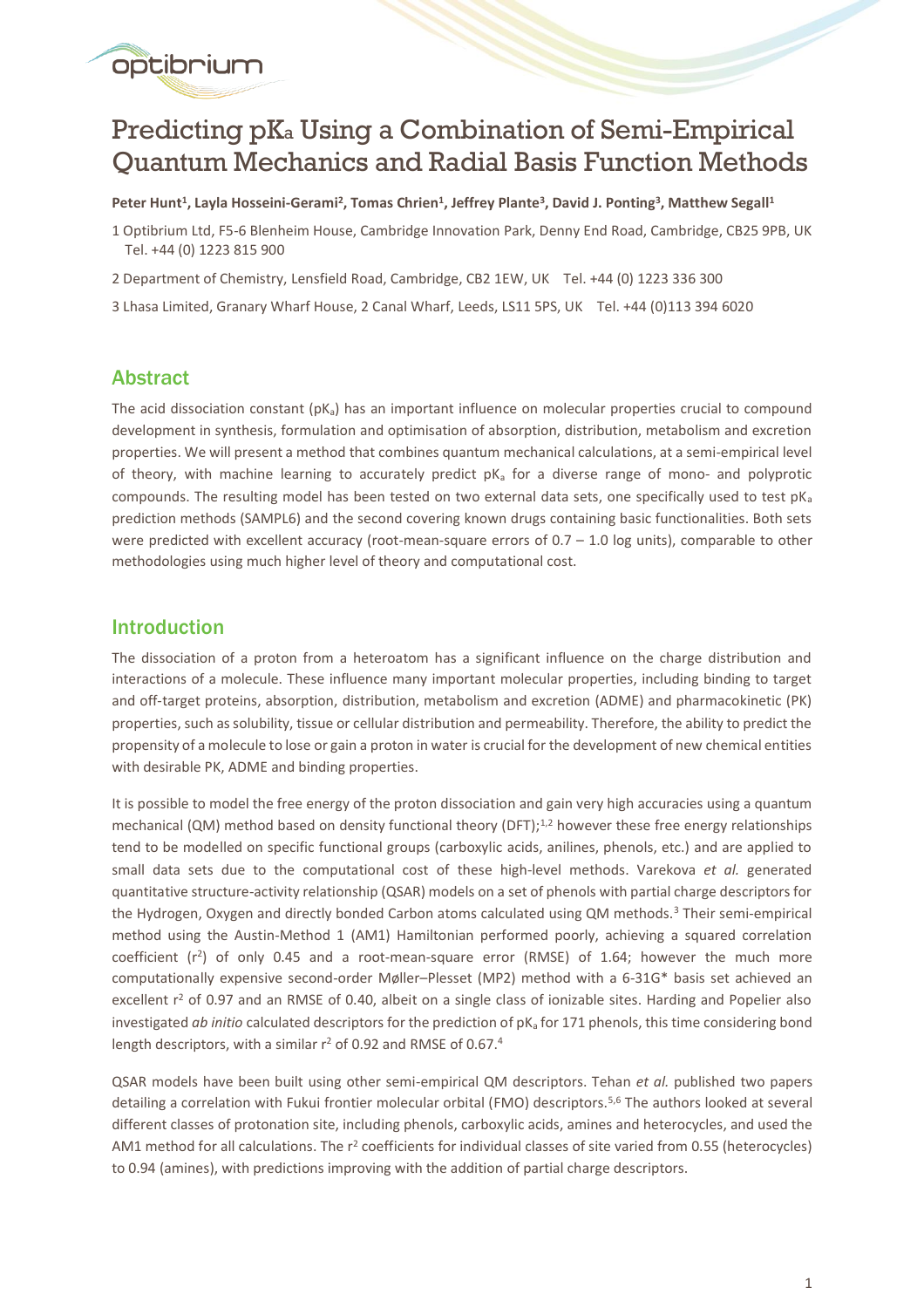# Predicting pK<sup>a</sup> Using a Combination of Semi-Empirical Quantum Mechanics and Radial Basis Function Methods

**Peter Hunt<sup>1</sup> , Layla Hosseini-Gerami<sup>2</sup> , Tomas Chrien<sup>1</sup> , Jeffrey Plante<sup>3</sup> , David J. Ponting<sup>3</sup> , Matthew Segall<sup>1</sup>**

1 Optibrium Ltd, F5-6 Blenheim House, Cambridge Innovation Park, Denny End Road, Cambridge, CB25 9PB, UK Tel. +44 (0) 1223 815 900

2 Department of Chemistry, Lensfield Road, Cambridge, CB2 1EW, UK Tel. +44 (0) 1223 336 300

3 Lhasa Limited, Granary Wharf House, 2 Canal Wharf, Leeds, LS11 5PS, UK Tel. +44 (0)113 394 6020

# Abstract

optibrium

The acid dissociation constant  $(pK_a)$  has an important influence on molecular properties crucial to compound development in synthesis, formulation and optimisation of absorption, distribution, metabolism and excretion properties. We will present a method that combines quantum mechanical calculations, at a semi-empirical level of theory, with machine learning to accurately predict  $pK_a$  for a diverse range of mono- and polyprotic compounds. The resulting model has been tested on two external data sets, one specifically used to test  $pK_a$ prediction methods (SAMPL6) and the second covering known drugs containing basic functionalities. Both sets were predicted with excellent accuracy (root-mean-square errors of 0.7 – 1.0 log units), comparable to other methodologies using much higher level of theory and computational cost.

# Introduction

The dissociation of a proton from a heteroatom has a significant influence on the charge distribution and interactions of a molecule. These influence many important molecular properties, including binding to target and off-target proteins, absorption, distribution, metabolism and excretion (ADME) and pharmacokinetic (PK) properties, such as solubility, tissue or cellular distribution and permeability. Therefore, the ability to predict the propensity of a molecule to lose or gain a proton in water is crucial for the development of new chemical entities with desirable PK, ADME and binding properties.

It is possible to model the free energy of the proton dissociation and gain very high accuracies using a quantum mechanical (QM) method based on density functional theory (DFT);<sup>1,2</sup> however these free energy relationships tend to be modelled on specific functional groups (carboxylic acids, anilines, phenols, etc.) and are applied to small data sets due to the computational cost of these high-level methods. Varekova *et al.* generated quantitative structure-activity relationship (QSAR) models on a set of phenols with partial charge descriptors for the Hydrogen, Oxygen and directly bonded Carbon atoms calculated using QM methods.<sup>3</sup> Their semi-empirical method using the Austin-Method 1 (AM1) Hamiltonian performed poorly, achieving a squared correlation coefficient  $(r^2)$  of only 0.45 and a root-mean-square error (RMSE) of 1.64; however the much more computationally expensive second-order Møller–Plesset (MP2) method with a 6-31G\* basis set achieved an excellent r<sup>2</sup> of 0.97 and an RMSE of 0.40, albeit on a single class of ionizable sites. Harding and Popelier also investigated *ab initio* calculated descriptors for the prediction of pK<sub>a</sub> for 171 phenols, this time considering bond length descriptors, with a similar r<sup>2</sup> of 0.92 and RMSE of 0.67.<sup>4</sup>

QSAR models have been built using other semi-empirical QM descriptors. Tehan *et al.* published two papers detailing a correlation with Fukui frontier molecular orbital (FMO) descriptors.5,6 The authors looked at several different classes of protonation site, including phenols, carboxylic acids, amines and heterocycles, and used the AM1 method for all calculations. The  $r^2$  coefficients for individual classes of site varied from 0.55 (heterocycles) to 0.94 (amines), with predictions improving with the addition of partial charge descriptors.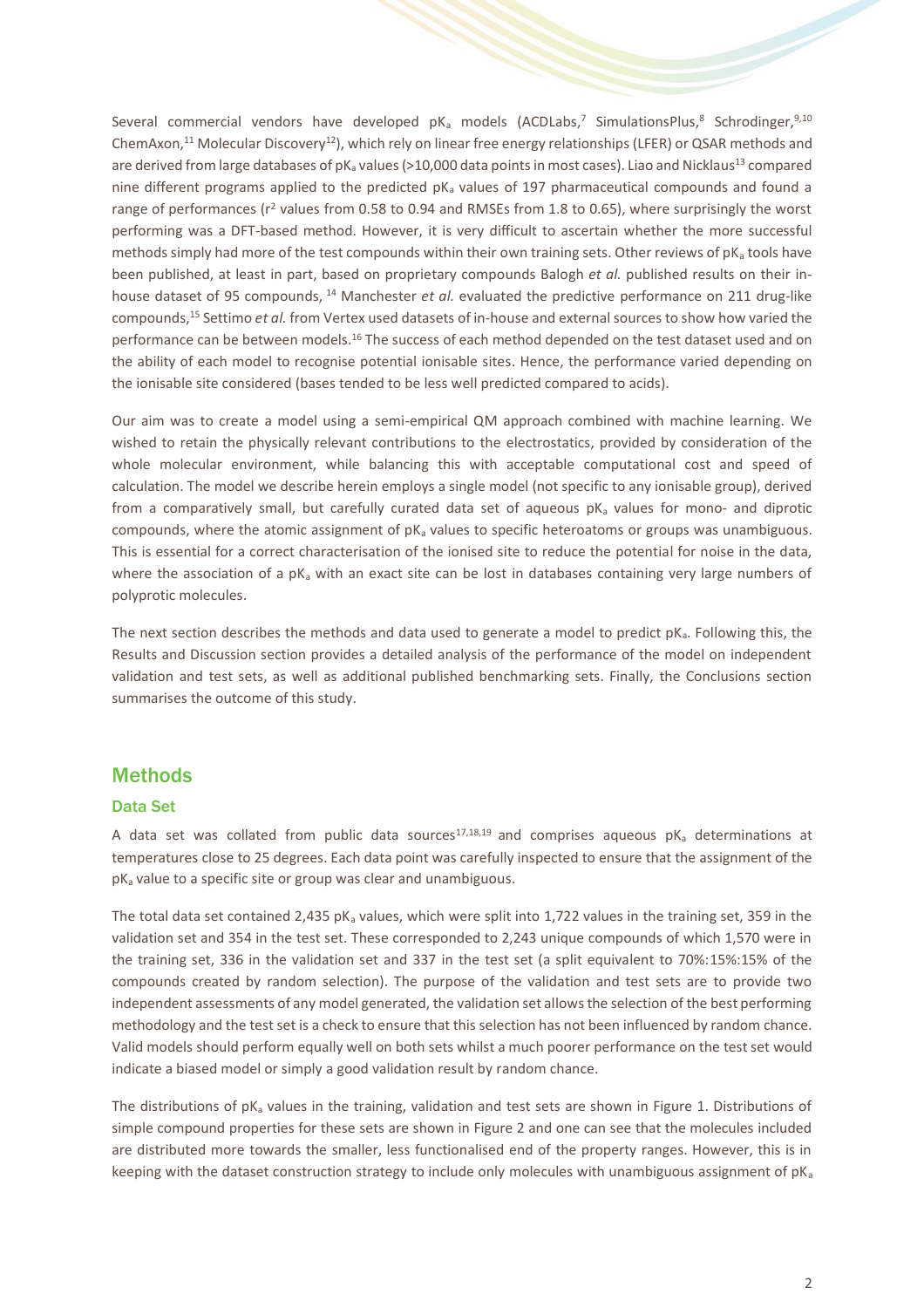Several commercial vendors have developed  $pK_a$  models (ACDLabs,<sup>7</sup> SimulationsPlus,<sup>8</sup> Schrodinger,<sup>9,10</sup> ChemAxon,<sup>11</sup> Molecular Discovery<sup>12</sup>), which rely on linear free energy relationships (LFER) or QSAR methods and are derived from large databases of pK<sub>a</sub> values (>10,000 data points in most cases). Liao and Nicklaus<sup>13</sup> compared nine different programs applied to the predicted  $pK_a$  values of 197 pharmaceutical compounds and found a range of performances (r<sup>2</sup> values from 0.58 to 0.94 and RMSEs from 1.8 to 0.65), where surprisingly the worst performing was a DFT-based method. However, it is very difficult to ascertain whether the more successful methods simply had more of the test compounds within their own training sets. Other reviews of  $pK<sub>a</sub>$  tools have been published, at least in part, based on proprietary compounds Balogh *et al.* published results on their inhouse dataset of 95 compounds, <sup>14</sup> Manchester *et al.* evaluated the predictive performance on 211 drug-like compounds,<sup>15</sup> Settimo *et al.* from Vertex used datasets of in-house and external sources to show how varied the performance can be between models.<sup>16</sup> The success of each method depended on the test dataset used and on the ability of each model to recognise potential ionisable sites. Hence, the performance varied depending on the ionisable site considered (bases tended to be less well predicted compared to acids).

Our aim was to create a model using a semi-empirical QM approach combined with machine learning. We wished to retain the physically relevant contributions to the electrostatics, provided by consideration of the whole molecular environment, while balancing this with acceptable computational cost and speed of calculation. The model we describe herein employs a single model (not specific to any ionisable group), derived from a comparatively small, but carefully curated data set of aqueous  $pk<sub>a</sub>$  values for mono- and diprotic compounds, where the atomic assignment of  $pK_a$  values to specific heteroatoms or groups was unambiguous. This is essential for a correct characterisation of the ionised site to reduce the potential for noise in the data, where the association of a  $pK_a$  with an exact site can be lost in databases containing very large numbers of polyprotic molecules.

The next section describes the methods and data used to generate a model to predict  $pK_a$ . Following this, the Results and Discussion section provides a detailed analysis of the performance of the model on independent validation and test sets, as well as additional published benchmarking sets. Finally, the Conclusions section summarises the outcome of this study.

## **Methods**

#### Data Set

A data set was collated from public data sources<sup>17,18,19</sup> and comprises aqueous pK<sub>a</sub> determinations at temperatures close to 25 degrees. Each data point was carefully inspected to ensure that the assignment of the  $pK<sub>a</sub>$  value to a specific site or group was clear and unambiguous.

The total data set contained 2,435 pK<sub>a</sub> values, which were split into 1,722 values in the training set, 359 in the validation set and 354 in the test set. These corresponded to 2,243 unique compounds of which 1,570 were in the training set, 336 in the validation set and 337 in the test set (a split equivalent to 70%:15%:15% of the compounds created by random selection). The purpose of the validation and test sets are to provide two independent assessments of any model generated, the validation set allows the selection of the best performing methodology and the test set is a check to ensure that this selection has not been influenced by random chance. Valid models should perform equally well on both sets whilst a much poorer performance on the test set would indicate a biased model or simply a good validation result by random chance.

The distributions of  $pK_a$  values in the training, validation and test sets are shown in Figure 1. Distributions of simple compound properties for these sets are shown in Figure 2 and one can see that the molecules included are distributed more towards the smaller, less functionalised end of the property ranges. However, this is in keeping with the dataset construction strategy to include only molecules with unambiguous assignment of  $pK_a$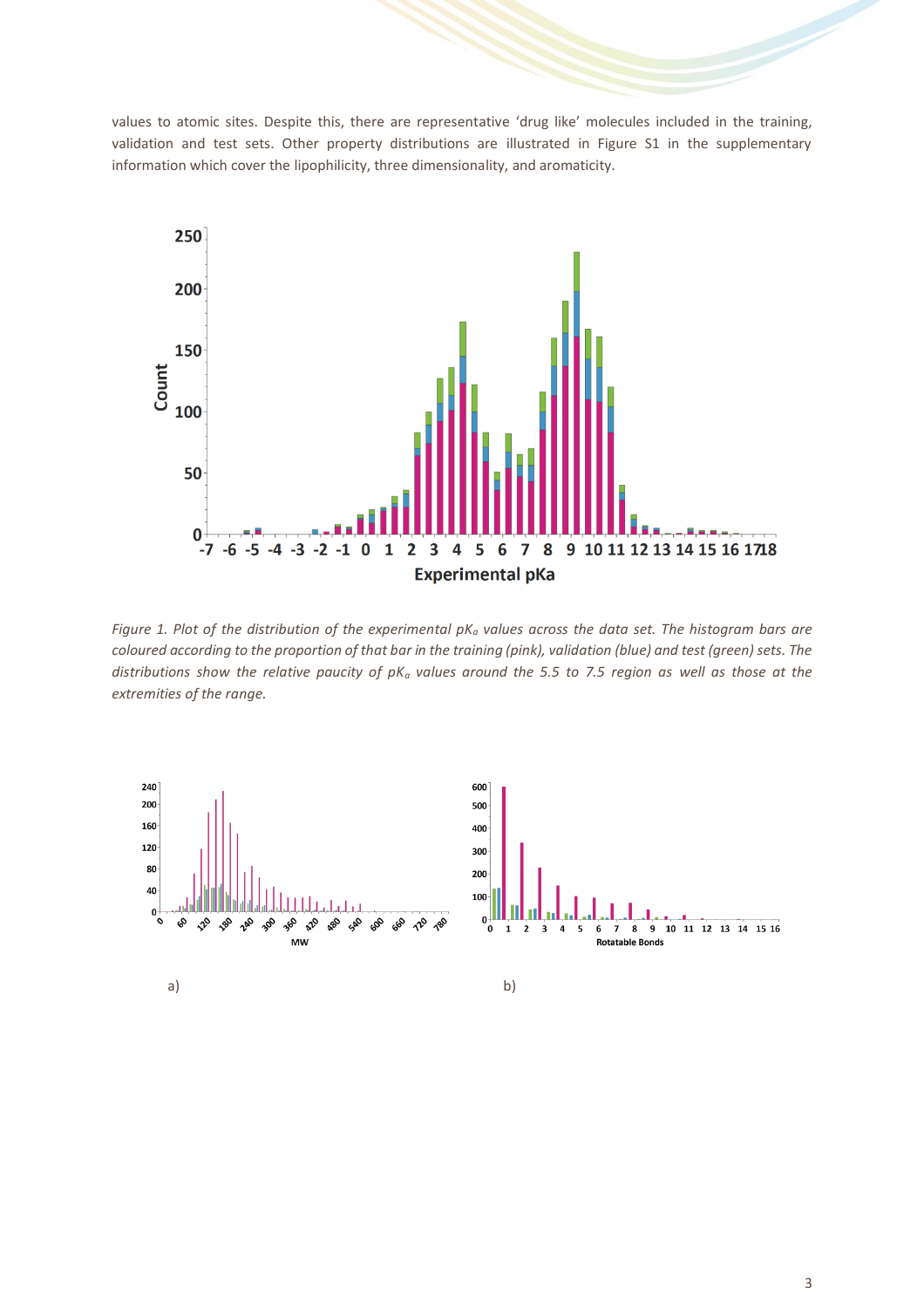values to atomic sites. Despite this, there are representative 'drug like' molecules included in the training, validation and test sets. Other property distributions are illustrated in Figure S1 in the supplementary information which cover the lipophilicity, three dimensionality, and aromaticity.



*Figure 1. Plot of the distribution of the experimental pK<sup>a</sup> values across the data set. The histogram bars are coloured according to the proportion of that bar in the training (pink), validation (blue) and test (green) sets. The distributions show the relative paucity of pK<sup>a</sup> values around the 5.5 to 7.5 region as well as those at the extremities of the range.*

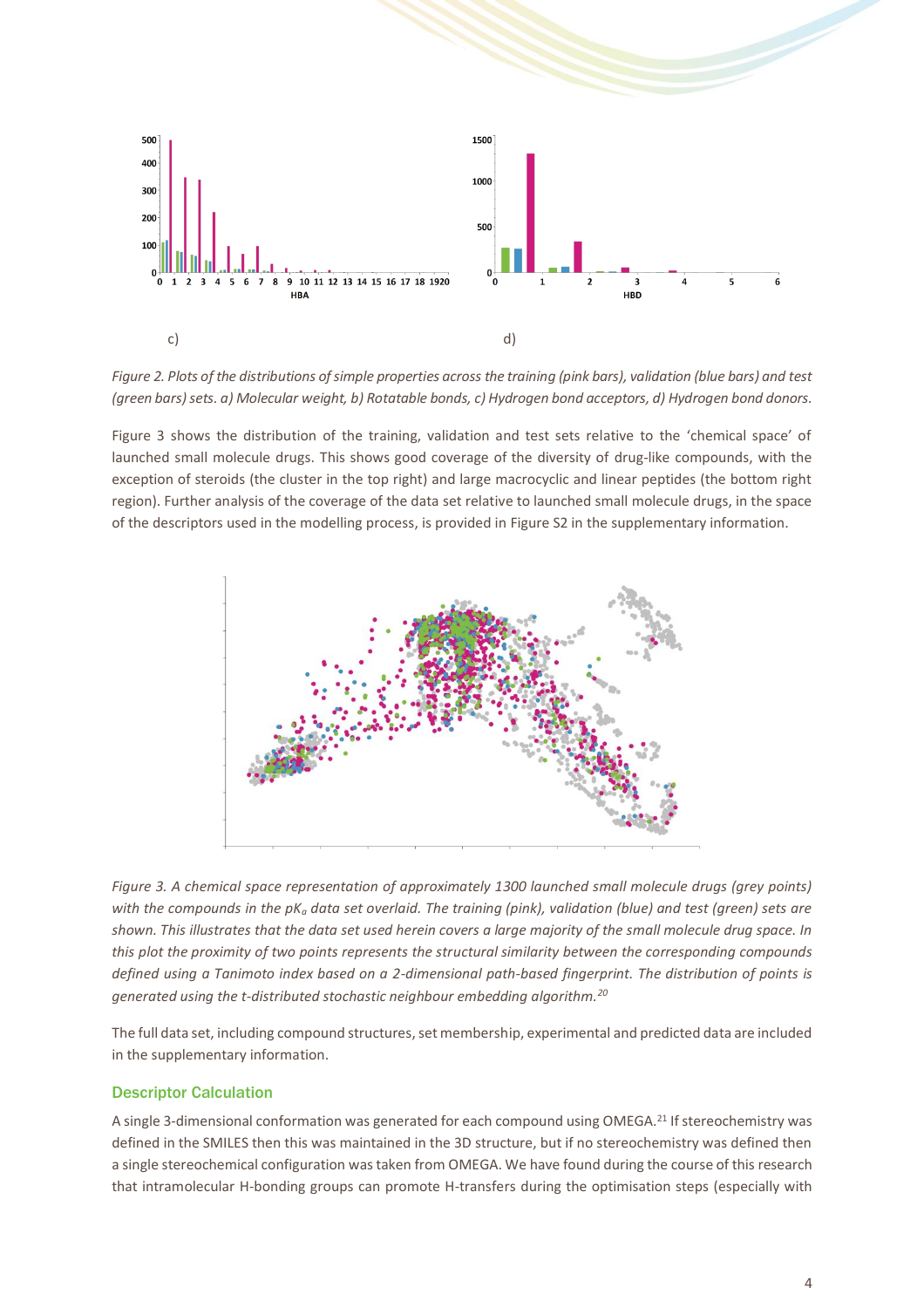

*Figure 2. Plots of the distributions of simple properties across the training (pink bars), validation (blue bars) and test (green bars) sets. a) Molecular weight, b) Rotatable bonds, c) Hydrogen bond acceptors, d) Hydrogen bond donors.*

Figure 3 shows the distribution of the training, validation and test sets relative to the 'chemical space' of launched small molecule drugs. This shows good coverage of the diversity of drug-like compounds, with the exception of steroids (the cluster in the top right) and large macrocyclic and linear peptides (the bottom right region). Further analysis of the coverage of the data set relative to launched small molecule drugs, in the space of the descriptors used in the modelling process, is provided in Figure S2 in the supplementary information.



*Figure 3. A chemical space representation of approximately 1300 launched small molecule drugs (grey points) with the compounds in the pK<sup>a</sup> data set overlaid. The training (pink), validation (blue) and test (green) sets are shown. This illustrates that the data set used herein covers a large majority of the small molecule drug space. In this plot the proximity of two points represents the structural similarity between the corresponding compounds defined using a Tanimoto index based on a 2-dimensional path-based fingerprint. The distribution of points is generated using the t-distributed stochastic neighbour embedding algorithm.<sup>20</sup>*

The full data set, including compound structures, set membership, experimental and predicted data are included in the supplementary information.

#### Descriptor Calculation

A single 3-dimensional conformation was generated for each compound using OMEGA.<sup>21</sup> If stereochemistry was defined in the SMILES then this was maintained in the 3D structure, but if no stereochemistry was defined then a single stereochemical configuration was taken from OMEGA. We have found during the course of this research that intramolecular H-bonding groups can promote H-transfers during the optimisation steps (especially with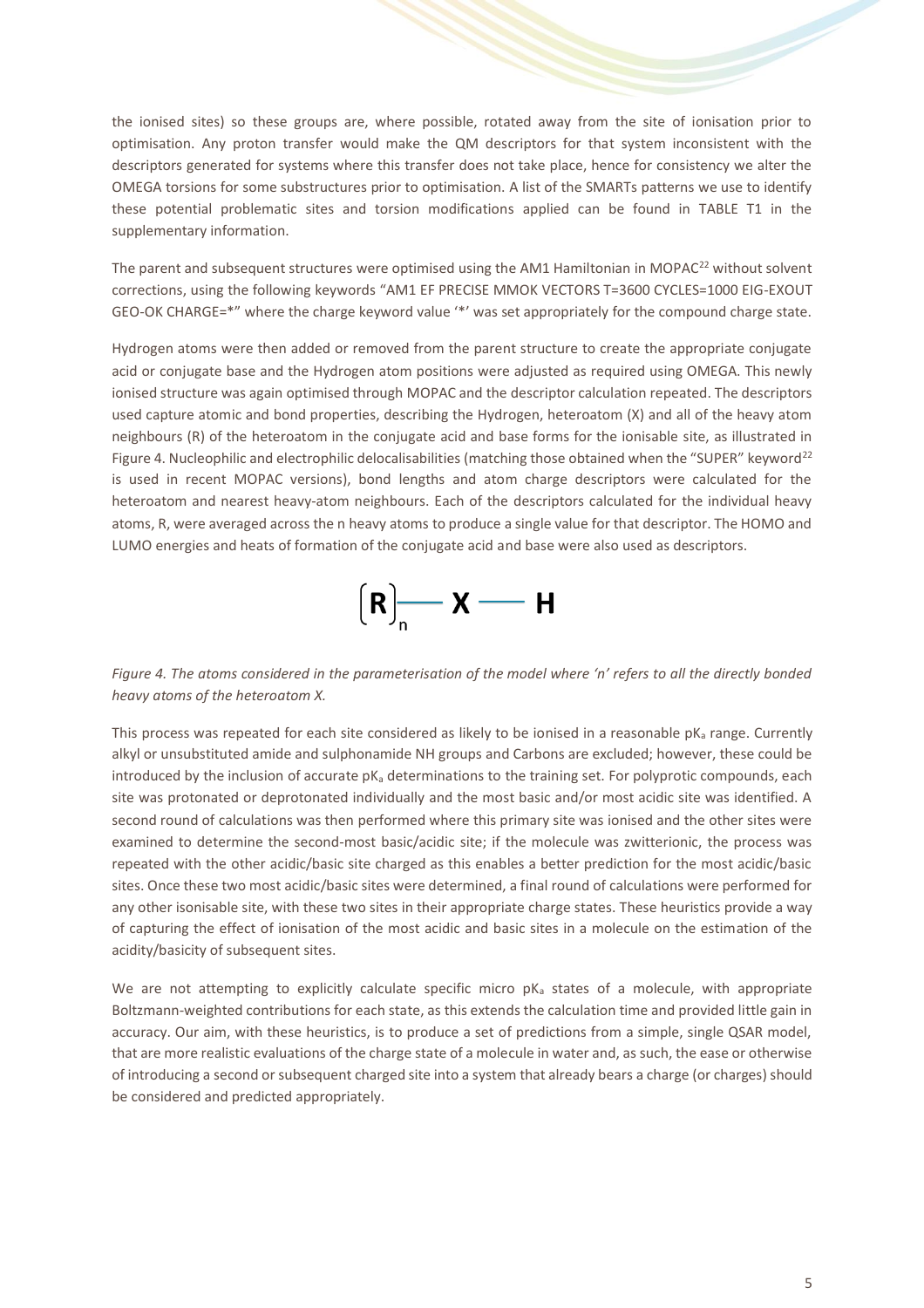the ionised sites) so these groups are, where possible, rotated away from the site of ionisation prior to optimisation. Any proton transfer would make the QM descriptors for that system inconsistent with the descriptors generated for systems where this transfer does not take place, hence for consistency we alter the OMEGA torsions for some substructures prior to optimisation. A list of the SMARTs patterns we use to identify these potential problematic sites and torsion modifications applied can be found in TABLE T1 in the supplementary information.

The parent and subsequent structures were optimised using the AM1 Hamiltonian in MOPAC<sup>22</sup> without solvent corrections, using the following keywords "AM1 EF PRECISE MMOK VECTORS T=3600 CYCLES=1000 EIG-EXOUT GEO-OK CHARGE=\*" where the charge keyword value '\*' was set appropriately for the compound charge state.

Hydrogen atoms were then added or removed from the parent structure to create the appropriate conjugate acid or conjugate base and the Hydrogen atom positions were adjusted as required using OMEGA. This newly ionised structure was again optimised through MOPAC and the descriptor calculation repeated. The descriptors used capture atomic and bond properties, describing the Hydrogen, heteroatom (X) and all of the heavy atom neighbours (R) of the heteroatom in the conjugate acid and base forms for the ionisable site, as illustrated in Figure 4. Nucleophilic and electrophilic delocalisabilities (matching those obtained when the "SUPER" keyword<sup>22</sup> is used in recent MOPAC versions), bond lengths and atom charge descriptors were calculated for the heteroatom and nearest heavy-atom neighbours. Each of the descriptors calculated for the individual heavy atoms, R, were averaged across the n heavy atoms to produce a single value for that descriptor. The HOMO and LUMO energies and heats of formation of the conjugate acid and base were also used as descriptors.



*Figure 4. The atoms considered in the parameterisation of the model where 'n' refers to all the directly bonded heavy atoms of the heteroatom X.*

This process was repeated for each site considered as likely to be ionised in a reasonable  $pK_a$  range. Currently alkyl or unsubstituted amide and sulphonamide NH groups and Carbons are excluded; however, these could be introduced by the inclusion of accurate  $pK_a$  determinations to the training set. For polyprotic compounds, each site was protonated or deprotonated individually and the most basic and/or most acidic site was identified. A second round of calculations was then performed where this primary site was ionised and the other sites were examined to determine the second-most basic/acidic site; if the molecule was zwitterionic, the process was repeated with the other acidic/basic site charged as this enables a better prediction for the most acidic/basic sites. Once these two most acidic/basic sites were determined, a final round of calculations were performed for any other isonisable site, with these two sites in their appropriate charge states. These heuristics provide a way of capturing the effect of ionisation of the most acidic and basic sites in a molecule on the estimation of the acidity/basicity of subsequent sites.

We are not attempting to explicitly calculate specific micro  $pK_a$  states of a molecule, with appropriate Boltzmann-weighted contributions for each state, as this extends the calculation time and provided little gain in accuracy. Our aim, with these heuristics, is to produce a set of predictions from a simple, single QSAR model, that are more realistic evaluations of the charge state of a molecule in water and, as such, the ease or otherwise of introducing a second or subsequent charged site into a system that already bears a charge (or charges) should be considered and predicted appropriately.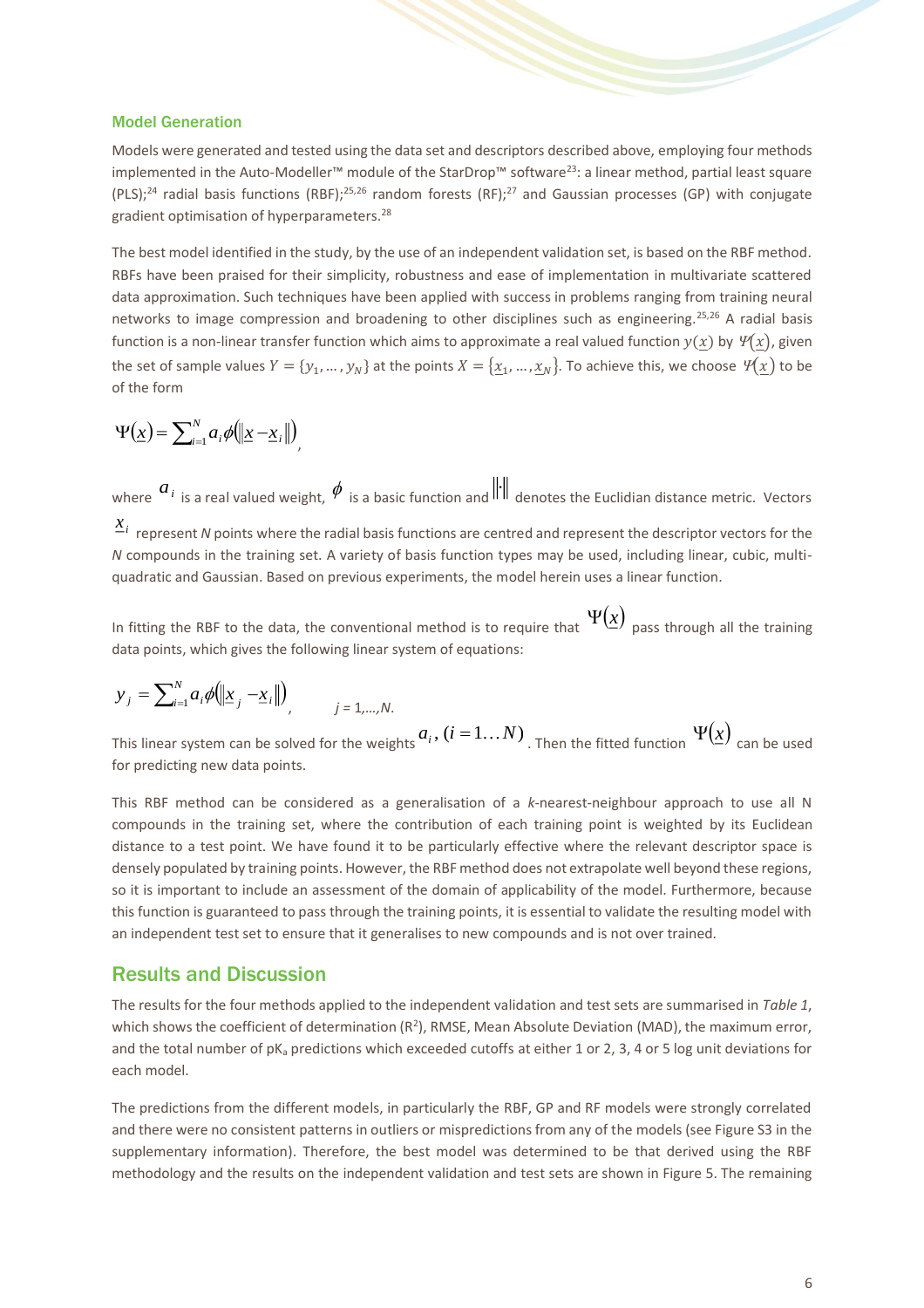#### Model Generation

Models were generated and tested using the data set and descriptors described above, employing four methods implemented in the Auto-Modeller™ module of the StarDrop™ software<sup>23</sup>: a linear method, partial least square (PLS);<sup>24</sup> radial basis functions (RBF);25,26 random forests (RF);<sup>27</sup> and Gaussian processes (GP) with conjugate gradient optimisation of hyperparameters.<sup>28</sup>

The best model identified in the study, by the use of an independent validation set, is based on the RBF method. RBFs have been praised for their simplicity, robustness and ease of implementation in multivariate scattered data approximation. Such techniques have been applied with success in problems ranging from training neural networks to image compression and broadening to other disciplines such as engineering.25,26 A radial basis function is a non-linear transfer function which aims to approximate a real valued function  $y(x)$  by  $\mathcal{Y}(x)$ , given the set of sample values  $Y = \{y_1, ..., y_N\}$  at the points  $X = \{x_1, ..., x_N\}$ . To achieve this, we choose  $\mathcal{Y}(x)$  to be of the form

$$
\Psi(\underline{x}) = \sum_{i=1}^{N} a_i \phi(\|\underline{x} - \underline{x}_i\|),
$$

where  $a_i$  is a real valued weight,  $\phi$  is a basic function and  $\Vert \cdot \Vert$  denotes the Euclidian distance metric. Vectors  $x^{i}$  represent *N* points where the radial basis functions are centred and represent the descriptor vectors for the *N* compounds in the training set. A variety of basis function types may be used, including linear, cubic, multiquadratic and Gaussian. Based on previous experiments, the model herein uses a linear function.

In fitting the RBF to the data, the conventional method is to require that  $\mathbf{\Psi}(\underline{x})$  pass through all the training data points, which gives the following linear system of equations:

$$
y_j = \sum_{i=1}^{N} a_i \phi(\|\underline{x}_j - \underline{x}_i\|)
$$
,   
  $j = 1,...,N$ .

This linear system can be solved for the weights  $a_i$  ,  $(i=1...N)$  <sub>. Then</sub> the fitted function  $\;\Psi(\underline{x})\;$  can be used for predicting new data points.

This RBF method can be considered as a generalisation of a *k*-nearest-neighbour approach to use all N compounds in the training set, where the contribution of each training point is weighted by its Euclidean distance to a test point. We have found it to be particularly effective where the relevant descriptor space is densely populated by training points. However, the RBF method does not extrapolate well beyond these regions, so it is important to include an assessment of the domain of applicability of the model. Furthermore, because this function is guaranteed to pass through the training points, it is essential to validate the resulting model with an independent test set to ensure that it generalises to new compounds and is not over trained.

## Results and Discussion

The results for the four methods applied to the independent validation and test sets are summarised in *[Table 1](#page-6-0)*, which shows the coefficient of determination  $(R^2)$ , RMSE, Mean Absolute Deviation (MAD), the maximum error, and the total number of  $pK_a$  predictions which exceeded cutoffs at either 1 or 2, 3, 4 or 5 log unit deviations for each model.

The predictions from the different models, in particularly the RBF, GP and RF models were strongly correlated and there were no consistent patterns in outliers or mispredictions from any of the models (see Figure S3 in the supplementary information). Therefore, the best model was determined to be that derived using the RBF methodology and the results on the independent validation and test sets are shown in Figure 5. The remaining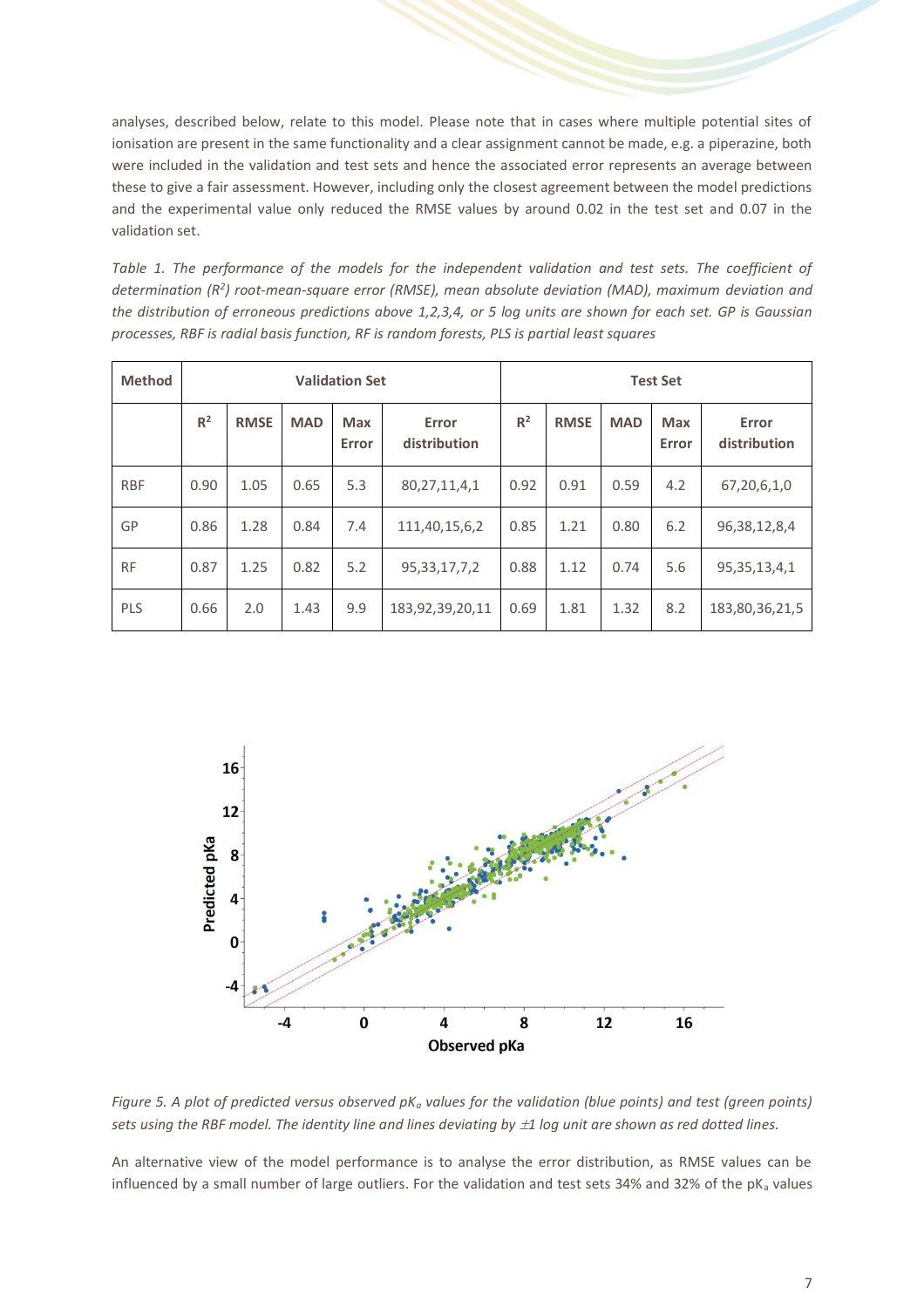analyses, described below, relate to this model. Please note that in cases where multiple potential sites of ionisation are present in the same functionality and a clear assignment cannot be made, e.g. a piperazine, both were included in the validation and test sets and hence the associated error represents an average between these to give a fair assessment. However, including only the closest agreement between the model predictions and the experimental value only reduced the RMSE values by around 0.02 in the test set and 0.07 in the validation set.

<span id="page-6-0"></span>*Table 1. The performance of the models for the independent validation and test sets. The coefficient of determination (R<sup>2</sup> ) root-mean-square error (RMSE), mean absolute deviation (MAD), maximum deviation and the distribution of erroneous predictions above 1,2,3,4, or 5 log units are shown for each set. GP is Gaussian processes, RBF is radial basis function, RF is random forests, PLS is partial least squares*

| <b>Method</b> | <b>Validation Set</b> |             |            |                     |                       | <b>Test Set</b> |             |            |                     |                       |
|---------------|-----------------------|-------------|------------|---------------------|-----------------------|-----------------|-------------|------------|---------------------|-----------------------|
|               | R <sup>2</sup>        | <b>RMSE</b> | <b>MAD</b> | <b>Max</b><br>Error | Error<br>distribution | $R^2$           | <b>RMSE</b> | <b>MAD</b> | <b>Max</b><br>Error | Error<br>distribution |
| <b>RBF</b>    | 0.90                  | 1.05        | 0.65       | 5.3                 | 80, 27, 11, 4, 1      | 0.92            | 0.91        | 0.59       | 4.2                 | 67,20,6,1,0           |
| GP            | 0.86                  | 1.28        | 0.84       | 7.4                 | 111,40,15,6,2         | 0.85            | 1.21        | 0.80       | 6.2                 | 96, 38, 12, 8, 4      |
| <b>RF</b>     | 0.87                  | 1.25        | 0.82       | 5.2                 | 95, 33, 17, 7, 2      | 0.88            | 1.12        | 0.74       | 5.6                 | 95, 35, 13, 4, 1      |
| <b>PLS</b>    | 0.66                  | 2.0         | 1.43       | 9.9                 | 183,92,39,20,11       | 0.69            | 1.81        | 1.32       | 8.2                 | 183,80,36,21,5        |



*Figure 5. A plot of predicted versus observed pK<sup>a</sup> values for the validation (blue points) and test (green points) sets using the RBF model. The identity line and lines deviating by 1 log unit are shown as red dotted lines.*

An alternative view of the model performance is to analyse the error distribution, as RMSE values can be influenced by a small number of large outliers. For the validation and test sets 34% and 32% of the  $pK<sub>a</sub>$  values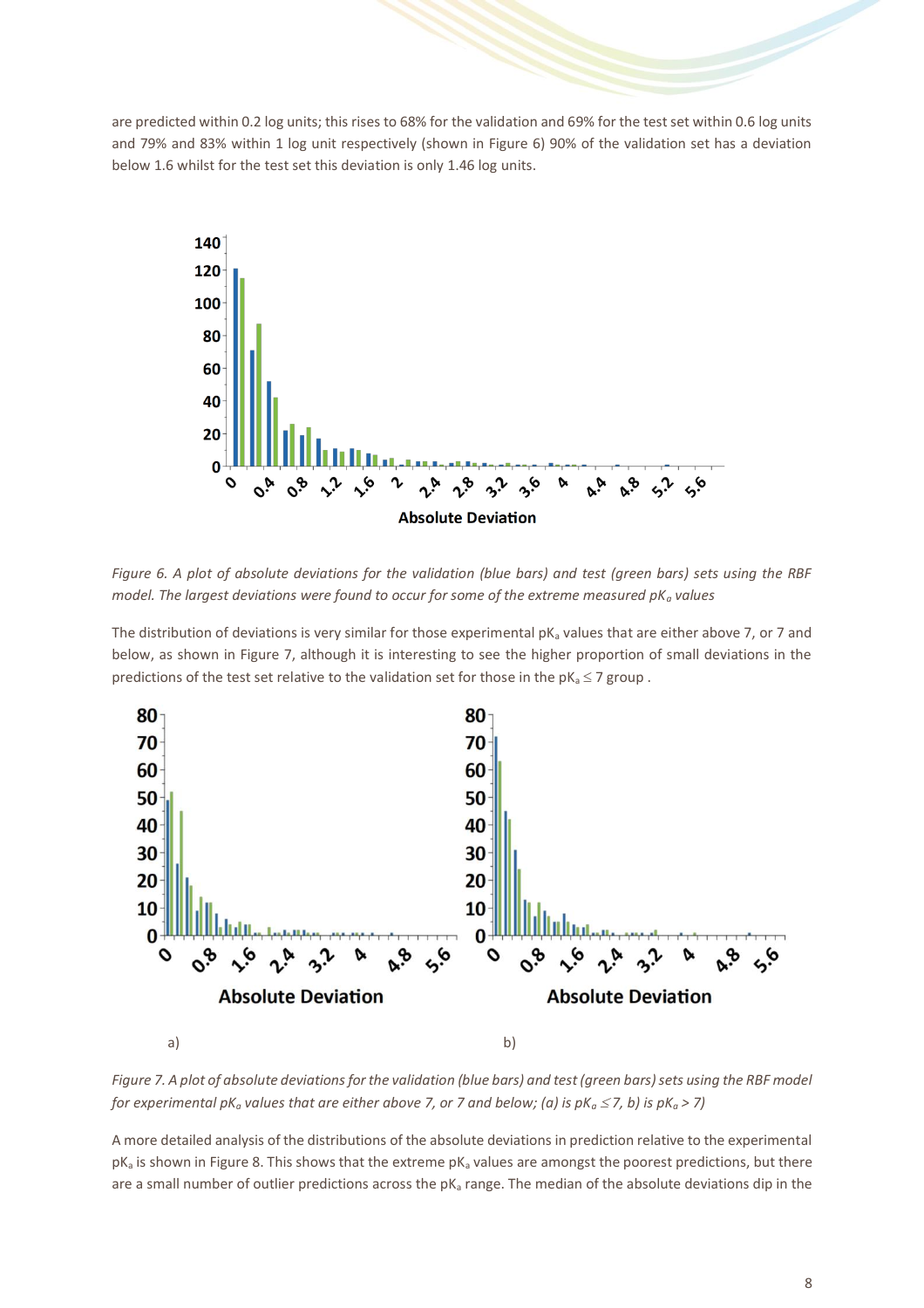are predicted within 0.2 log units; this rises to 68% for the validation and 69% for the test set within 0.6 log units and 79% and 83% within 1 log unit respectively (shown in Figure 6) 90% of the validation set has a deviation below 1.6 whilst for the test set this deviation is only 1.46 log units.



*Figure 6. A plot of absolute deviations for the validation (blue bars) and test (green bars) sets using the RBF model. The largest deviations were found to occur for some of the extreme measured pK<sup>a</sup> values*

The distribution of deviations is very similar for those experimental  $pK_a$  values that are either above 7, or 7 and below, as shown in Figure 7, although it is interesting to see the higher proportion of small deviations in the predictions of the test set relative to the validation set for those in the  $pK_a \le 7$  group.



*Figure 7. A plot of absolute deviations for the validation (blue bars) and test (green bars) sets using the RBF model for experimental pK<sub>a</sub> values that are either above 7, or 7 and below; (a) is*  $pK_a \le 7$ *, b) is*  $pK_a > 7$ *)* 

A more detailed analysis of the distributions of the absolute deviations in prediction relative to the experimental  $pK_a$  is shown in Figure 8. This shows that the extreme  $pK_a$  values are amongst the poorest predictions, but there are a small number of outlier predictions across the  $pK_a$  range. The median of the absolute deviations dip in the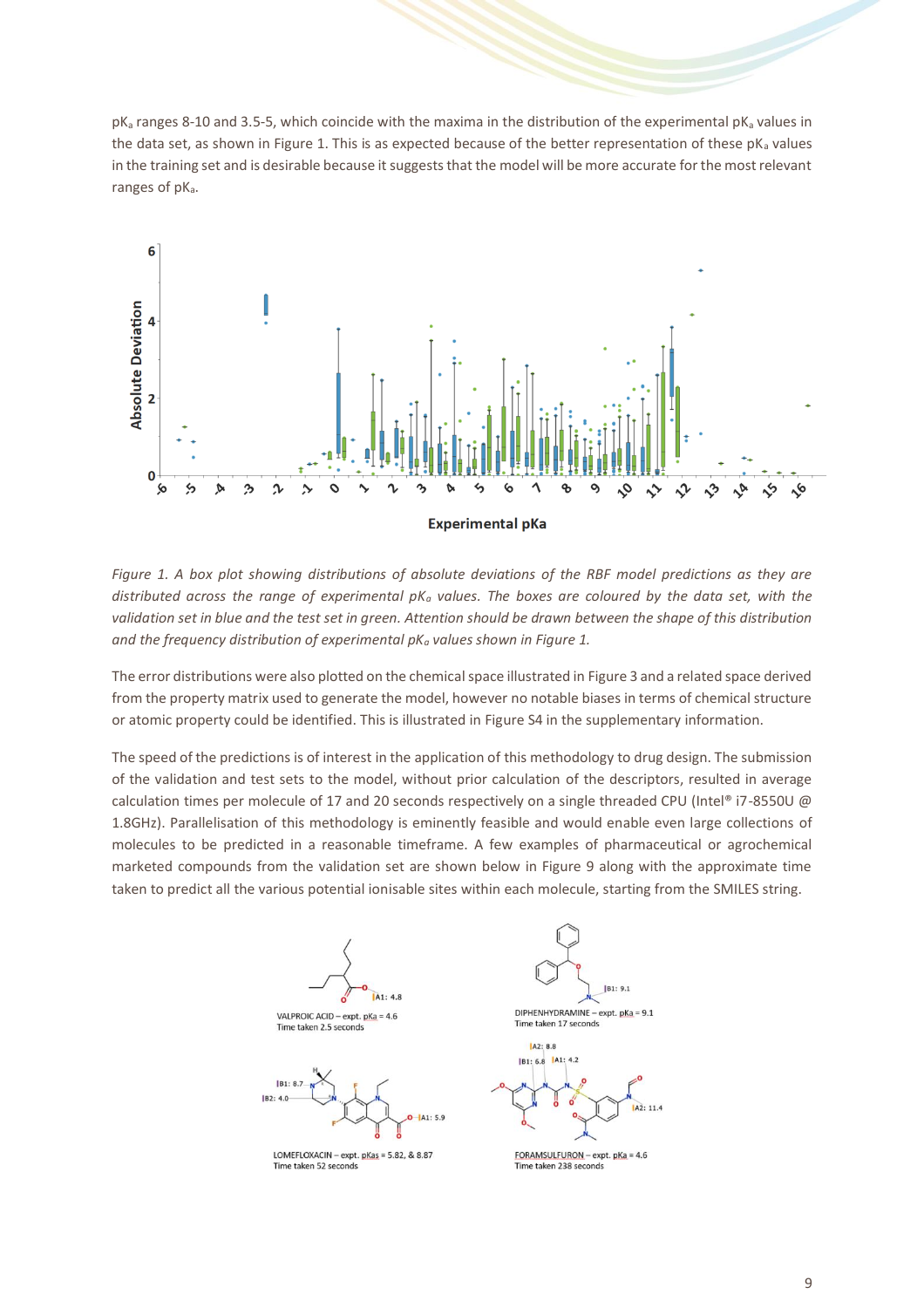$pK_a$  ranges 8-10 and 3.5-5, which coincide with the maxima in the distribution of the experimental  $pK_a$  values in the data set, as shown in Figure 1. This is as expected because of the better representation of these  $pK_a$  values in the training set and is desirable because it suggests that the model will be more accurate for the most relevant ranges of pK<sub>a</sub>.



*Figure 1. A box plot showing distributions of absolute deviations of the RBF model predictions as they are distributed across the range of experimental pK<sup>a</sup> values. The boxes are coloured by the data set, with the validation set in blue and the test set in green. Attention should be drawn between the shape of this distribution and the frequency distribution of experimental pK<sup>a</sup> values shown in Figure 1.*

The error distributions were also plotted on the chemical space illustrated in Figure 3 and a related space derived from the property matrix used to generate the model, however no notable biases in terms of chemical structure or atomic property could be identified. This is illustrated in Figure S4 in the supplementary information.

The speed of the predictions is of interest in the application of this methodology to drug design. The submission of the validation and test sets to the model, without prior calculation of the descriptors, resulted in average calculation times per molecule of 17 and 20 seconds respectively on a single threaded CPU (Intel® i7-8550U @ 1.8GHz). Parallelisation of this methodology is eminently feasible and would enable even large collections of molecules to be predicted in a reasonable timeframe. A few examples of pharmaceutical or agrochemical marketed compounds from the validation set are shown below in Figure 9 along with the approximate time taken to predict all the various potential ionisable sites within each molecule, starting from the SMILES string.



**IR1: 9.1** DIPHENHYDRAMINE - expt.  $pKa = 9.1$ 

Time taken 17 seconds



FORAMSULFURON - expt.  $pKa = 4.6$ Time taken 238 seconds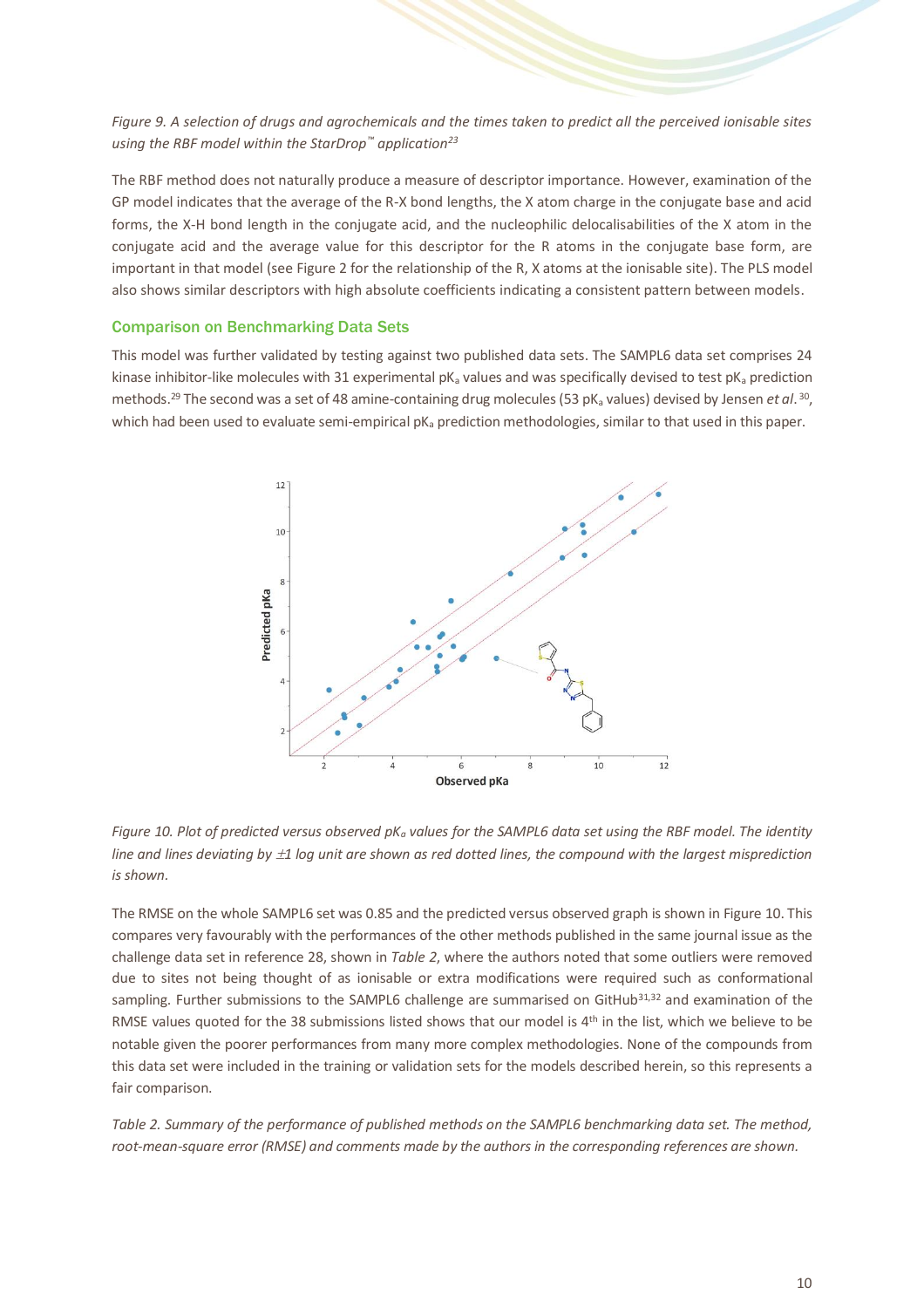*Figure 9. A selection of drugs and agrochemicals and the times taken to predict all the perceived ionisable sites using the RBF model within the StarDrop™ application<sup>23</sup>*

The RBF method does not naturally produce a measure of descriptor importance. However, examination of the GP model indicates that the average of the R-X bond lengths, the X atom charge in the conjugate base and acid forms, the X-H bond length in the conjugate acid, and the nucleophilic delocalisabilities of the X atom in the conjugate acid and the average value for this descriptor for the R atoms in the conjugate base form, are important in that model (see Figure 2 for the relationship of the R, X atoms at the ionisable site). The PLS model also shows similar descriptors with high absolute coefficients indicating a consistent pattern between models.

#### Comparison on Benchmarking Data Sets

This model was further validated by testing against two published data sets. The SAMPL6 data set comprises 24 kinase inhibitor-like molecules with 31 experimental  $pK_a$  values and was specifically devised to test  $pK_a$  prediction methods.<sup>29</sup> The second was a set of 48 amine-containing drug molecules (53 pK<sub>a</sub> values) devised by Jensen *et al*. <sup>30</sup>, which had been used to evaluate semi-empirical pK<sub>a</sub> prediction methodologies, similar to that used in this paper.



*Figure 10. Plot of predicted versus observed pK<sup>a</sup> values for the SAMPL6 data set using the RBF model. The identity line and lines deviating by 1 log unit are shown as red dotted lines, the compound with the largest misprediction is shown.*

The RMSE on the whole SAMPL6 set was 0.85 and the predicted versus observed graph is shown in Figure 10. This compares very favourably with the performances of the other methods published in the same journal issue as the challenge data set in reference 28, shown in *[Table 2](#page-9-0)*, where the authors noted that some outliers were removed due to sites not being thought of as ionisable or extra modifications were required such as conformational sampling. Further submissions to the SAMPL6 challenge are summarised on GitHub<sup>31,32</sup> and examination of the RMSE values quoted for the 38 submissions listed shows that our model is 4<sup>th</sup> in the list, which we believe to be notable given the poorer performances from many more complex methodologies. None of the compounds from this data set were included in the training or validation sets for the models described herein, so this represents a fair comparison.

<span id="page-9-0"></span>*Table 2. Summary of the performance of published methods on the SAMPL6 benchmarking data set. The method, root-mean-square error (RMSE) and comments made by the authors in the corresponding references are shown.*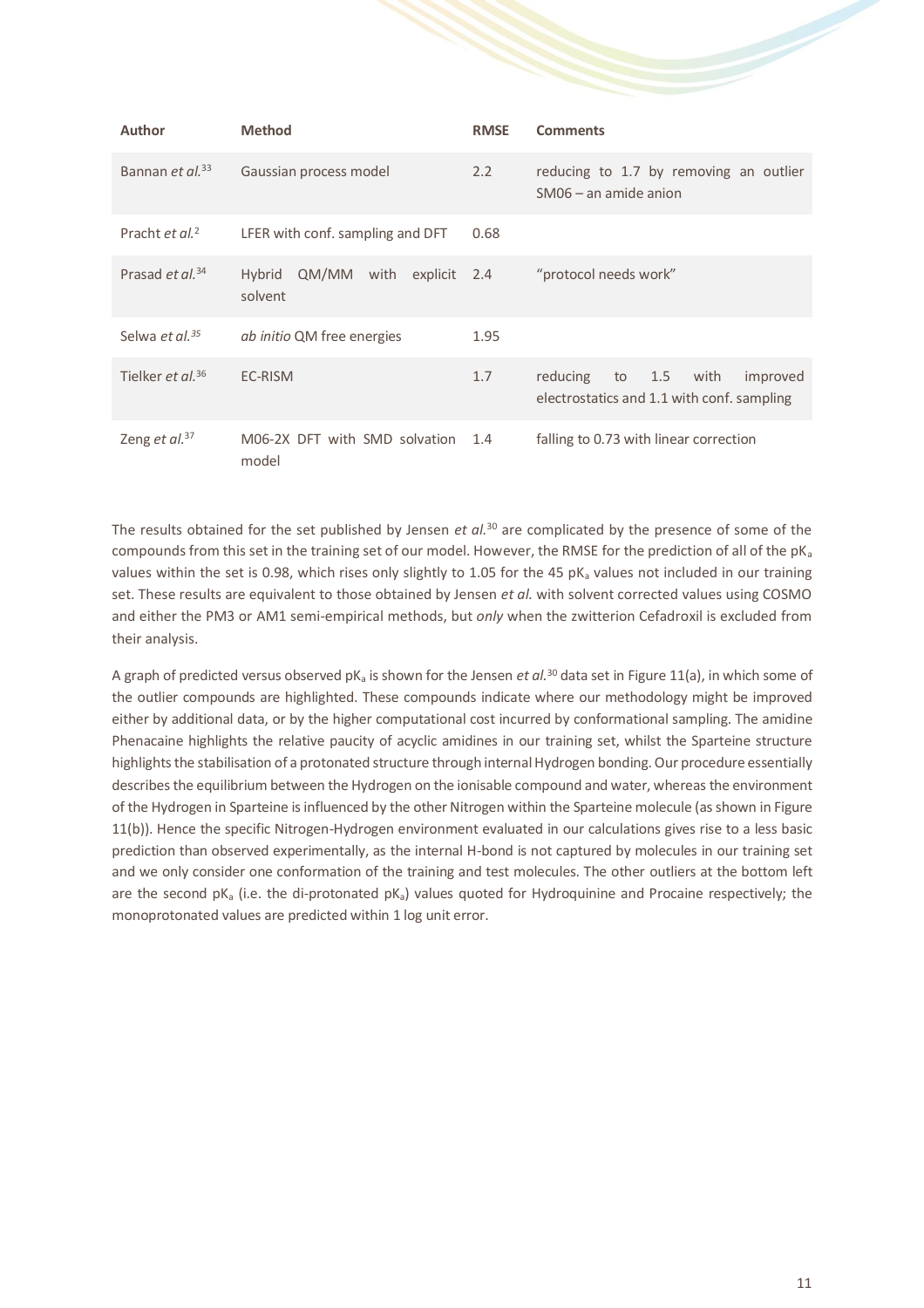| <b>Author</b>                | <b>Method</b>                               | <b>RMSE</b> | <b>Comments</b>                                                                      |  |  |  |
|------------------------------|---------------------------------------------|-------------|--------------------------------------------------------------------------------------|--|--|--|
| Bannan et al. <sup>33</sup>  | Gaussian process model                      | 2.2         | reducing to 1.7 by removing an outlier<br>SM06 - an amide anion                      |  |  |  |
| Pracht et al. <sup>2</sup>   | LFER with conf. sampling and DFT            | 0.68        |                                                                                      |  |  |  |
| Prasad et al. <sup>34</sup>  | QM/MM with<br>Hybrid<br>explicit<br>solvent | 2.4         | "protocol needs work"                                                                |  |  |  |
| Selwa et al. <sup>35</sup>   | <i>ab initio</i> QM free energies           | 1.95        |                                                                                      |  |  |  |
| Tielker et al. <sup>36</sup> | EC-RISM                                     | 1.7         | reducing<br>to 1.5<br>improved<br>with<br>electrostatics and 1.1 with conf. sampling |  |  |  |
| Zeng et al. <sup>37</sup>    | M06-2X DFT with SMD solvation<br>model      | 1.4         | falling to 0.73 with linear correction                                               |  |  |  |

The results obtained for the set published by Jensen *et al.*<sup>30</sup> are complicated by the presence of some of the compounds from this set in the training set of our model. However, the RMSE for the prediction of all of the  $pK_a$ values within the set is 0.98, which rises only slightly to 1.05 for the 45  $pK_a$  values not included in our training set. These results are equivalent to those obtained by Jensen *et al.* with solvent corrected values using COSMO and either the PM3 or AM1 semi-empirical methods, but *only* when the zwitterion Cefadroxil is excluded from their analysis.

A graph of predicted versus observed  $pK_a$  is shown for the Jensen *et al*.<sup>30</sup> data set in Figure 11(a), in which some of the outlier compounds are highlighted. These compounds indicate where our methodology might be improved either by additional data, or by the higher computational cost incurred by conformational sampling. The amidine Phenacaine highlights the relative paucity of acyclic amidines in our training set, whilst the Sparteine structure highlights the stabilisation of a protonated structure through internal Hydrogen bonding. Our procedure essentially describes the equilibrium between the Hydrogen on the ionisable compound and water, whereas the environment of the Hydrogen in Sparteine is influenced by the other Nitrogen within the Sparteine molecule (as shown in Figure 11(b)). Hence the specific Nitrogen-Hydrogen environment evaluated in our calculations gives rise to a less basic prediction than observed experimentally, as the internal H-bond is not captured by molecules in our training set and we only consider one conformation of the training and test molecules. The other outliers at the bottom left are the second  $pK_a$  (i.e. the di-protonated  $pK_a$ ) values quoted for Hydroquinine and Procaine respectively; the monoprotonated values are predicted within 1 log unit error.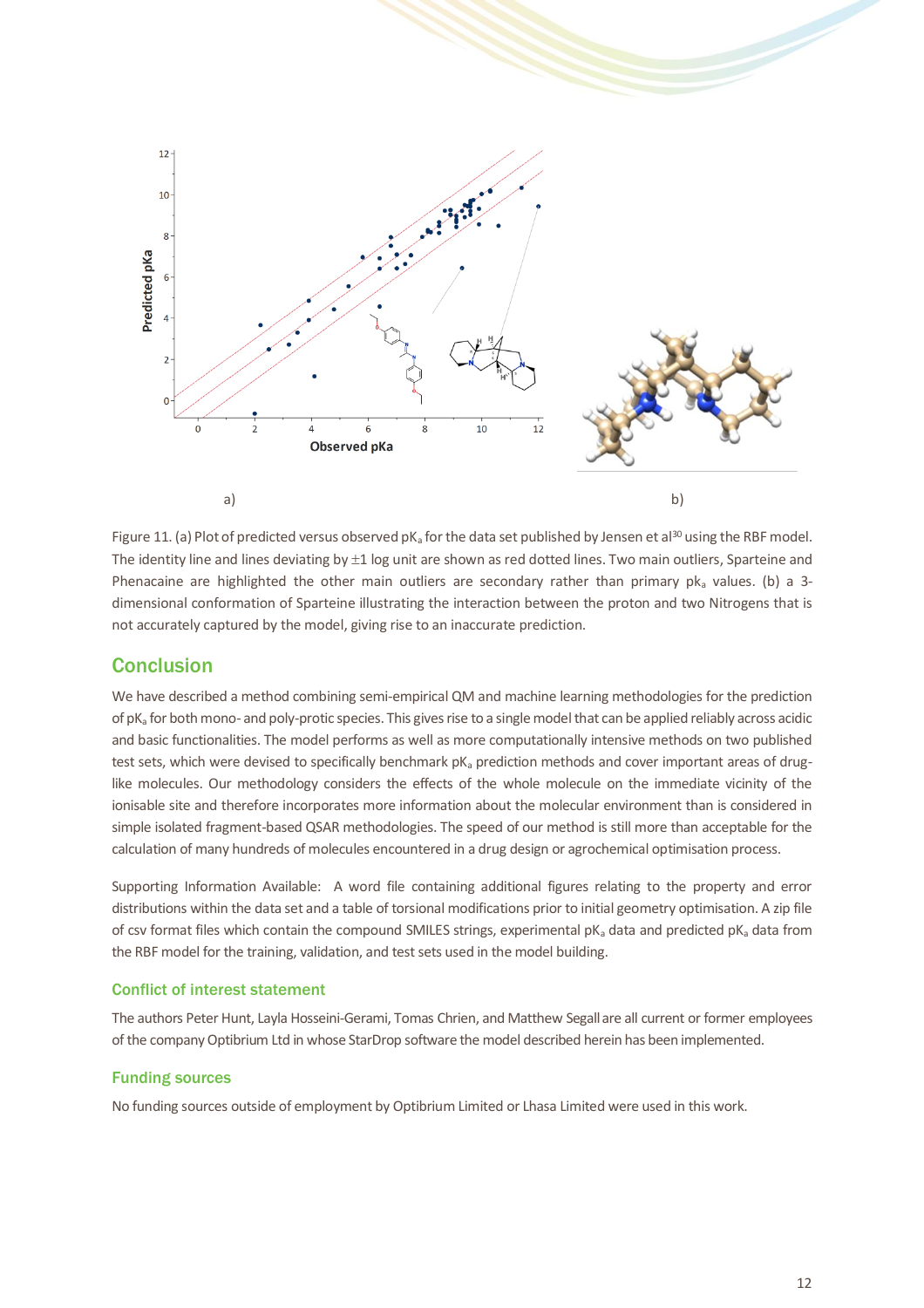

Figure 11. (a) Plot of predicted versus observed pK<sub>a</sub> for the data set published by Jensen et al<sup>30</sup> using the RBF model. The identity line and lines deviating by  $\pm 1$  log unit are shown as red dotted lines. Two main outliers, Sparteine and Phenacaine are highlighted the other main outliers are secondary rather than primary pka values. (b) a 3dimensional conformation of Sparteine illustrating the interaction between the proton and two Nitrogens that is not accurately captured by the model, giving rise to an inaccurate prediction.

# **Conclusion**

We have described a method combining semi-empirical QM and machine learning methodologies for the prediction of pK<sup>a</sup> for both mono- and poly-protic species. This gives rise to a single model that can be applied reliably across acidic and basic functionalities. The model performs as well as more computationally intensive methods on two published test sets, which were devised to specifically benchmark  $pK<sub>a</sub>$  prediction methods and cover important areas of druglike molecules. Our methodology considers the effects of the whole molecule on the immediate vicinity of the ionisable site and therefore incorporates more information about the molecular environment than is considered in simple isolated fragment-based QSAR methodologies. The speed of our method is still more than acceptable for the calculation of many hundreds of molecules encountered in a drug design or agrochemical optimisation process.

Supporting Information Available: A word file containing additional figures relating to the property and error distributions within the data set and a table of torsional modifications prior to initial geometry optimisation. A zip file of csv format files which contain the compound SMILES strings, experimental pKa data and predicted pKa data from the RBF model for the training, validation, and test sets used in the model building.

## Conflict of interest statement

The authors Peter Hunt, Layla Hosseini-Gerami, Tomas Chrien, and Matthew Segallare all current or former employees of the company Optibrium Ltd in whose StarDrop software the model described herein has been implemented.

## Funding sources

No funding sources outside of employment by Optibrium Limited or Lhasa Limited were used in this work.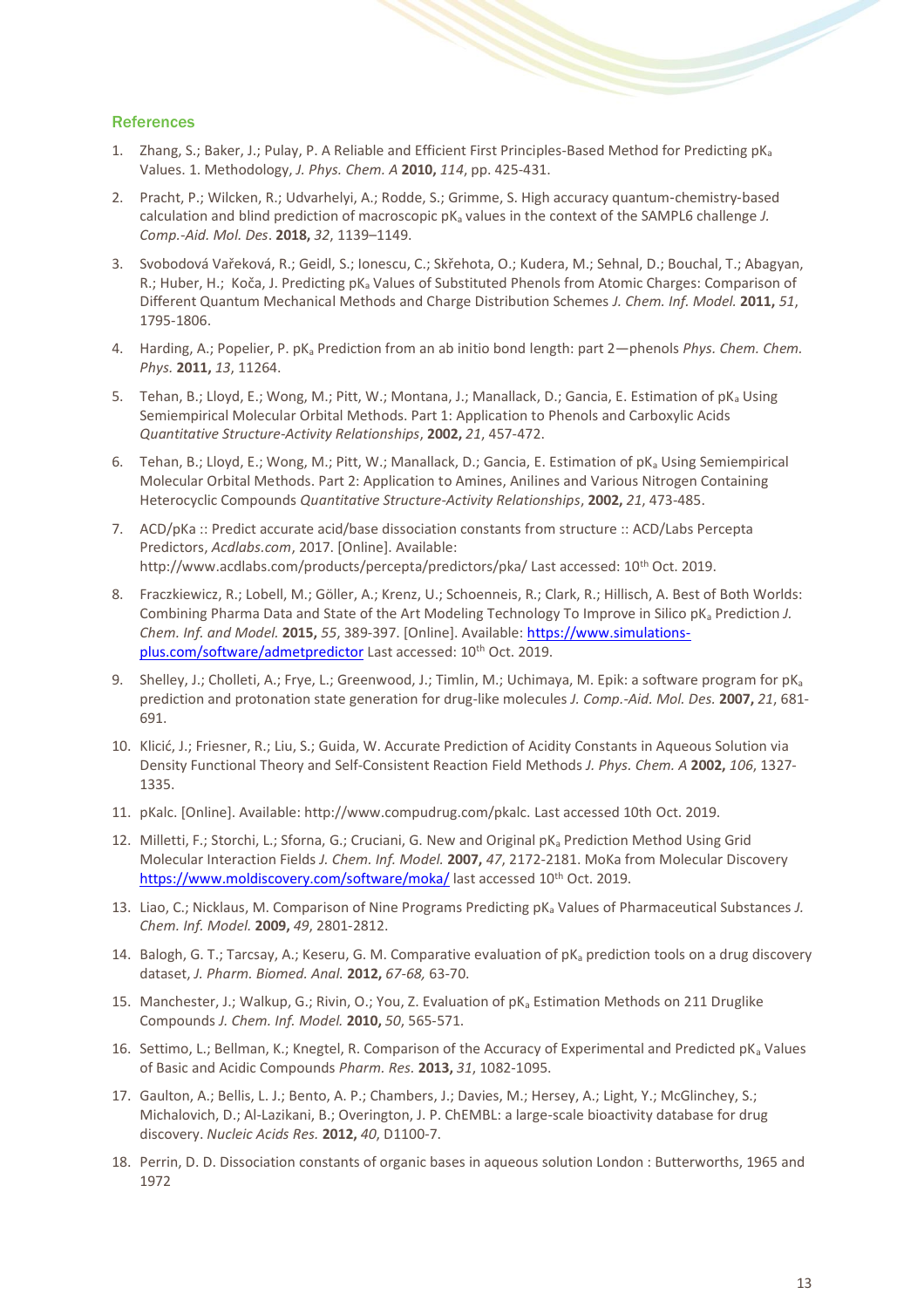#### **References**

- 1. Zhang, S.; Baker, J.; Pulay, P. A Reliable and Efficient First Principles-Based Method for Predicting pK<sup>a</sup> Values. 1. Methodology, *J. Phys. Chem. A* **2010,** *114*, pp. 425-431.
- 2. Pracht, P.; Wilcken, R.; Udvarhelyi, A.; Rodde, S.; Grimme, S. High accuracy quantum-chemistry-based calculation and blind prediction of macroscopic pK<sup>a</sup> values in the context of the SAMPL6 challenge *J. Comp.-Aid. Mol. Des*. **2018,** *32*, 1139–1149.
- 3. Svobodová Vařeková, R.; Geidl, S.; Ionescu, C.; Skřehota, O.; Kudera, M.; Sehnal, D.; Bouchal, T.; Abagyan, R.; Huber, H.; Koča, J. Predicting pK<sub>a</sub> Values of Substituted Phenols from Atomic Charges: Comparison of Different Quantum Mechanical Methods and Charge Distribution Schemes *J. Chem. Inf. Model.* **2011,** *51*, 1795-1806.
- 4. Harding, A.; Popelier, P. pK<sup>a</sup> Prediction from an ab initio bond length: part 2—phenols *Phys. Chem. Chem. Phys.* **2011,** *13*, 11264.
- 5. Tehan, B.; Lloyd, E.; Wong, M.; Pitt, W.; Montana, J.; Manallack, D.; Gancia, E. Estimation of pK<sub>a</sub> Using Semiempirical Molecular Orbital Methods. Part 1: Application to Phenols and Carboxylic Acids *Quantitative Structure-Activity Relationships*, **2002,** *21*, 457-472.
- 6. Tehan, B.; Lloyd, E.; Wong, M.; Pitt, W.; Manallack, D.; Gancia, E. Estimation of pK<sub>a</sub> Using Semiempirical Molecular Orbital Methods. Part 2: Application to Amines, Anilines and Various Nitrogen Containing Heterocyclic Compounds *Quantitative Structure-Activity Relationships*, **2002,** *21*, 473-485.
- 7. ACD/pKa :: Predict accurate acid/base dissociation constants from structure :: ACD/Labs Percepta Predictors, *Acdlabs.com*, 2017. [Online]. Available: http://www.acdlabs.com/products/percepta/predictors/pka/ Last accessed: 10<sup>th</sup> Oct. 2019.
- 8. Fraczkiewicz, R.; Lobell, M.; Göller, A.; Krenz, U.; Schoenneis, R.; Clark, R.; Hillisch, A. Best of Both Worlds: Combining Pharma Data and State of the Art Modeling Technology To Improve in Silico pK<sub>a</sub> Prediction *J. Chem. Inf. and Model.* **2015,** *55*, 389-397. [Online]. Available: [https://www.simulations](https://www.simulations-plus.com/software/admetpredictor/)[plus.com/software/admetpredictor](https://www.simulations-plus.com/software/admetpredictor/) Last accessed: 10<sup>th</sup> Oct. 2019.
- 9. Shelley, J.; Cholleti, A.; Frye, L.; Greenwood, J.; Timlin, M.; Uchimaya, M. Epik: a software program for pK<sub>a</sub> prediction and protonation state generation for drug-like molecules *J. Comp.-Aid. Mol. Des.* **2007,** *21*, 681- 691.
- 10. Klicić, J.; Friesner, R.; Liu, S.; Guida, W. Accurate Prediction of Acidity Constants in Aqueous Solution via Density Functional Theory and Self-Consistent Reaction Field Methods *J. Phys. Chem. A* **2002,** *106*, 1327- 1335.
- 11. pKalc. [Online]. Available: http://www.compudrug.com/pkalc. Last accessed 10th Oct. 2019.
- 12. Milletti, F.; Storchi, L.; Sforna, G.; Cruciani, G. New and Original pK<sub>a</sub> Prediction Method Using Grid Molecular Interaction Fields *J. Chem. Inf. Model.* **2007,** *47*, 2172-2181. MoKa from Molecular Discovery <https://www.moldiscovery.com/software/moka/> last accessed 10<sup>th</sup> Oct. 2019.
- 13. Liao, C.; Nicklaus, M. Comparison of Nine Programs Predicting pK<sup>a</sup> Values of Pharmaceutical Substances *J. Chem. Inf. Model.* **2009,** *49*, 2801-2812.
- 14. Balogh, G. T.; Tarcsay, A.; Keseru, G. M. Comparative evaluation of pK<sub>a</sub> prediction tools on a drug discovery dataset, *J. Pharm. Biomed. Anal.* **2012,** *67-68,* 63-70.
- 15. Manchester, J.; Walkup, G.; Rivin, O.; You, Z. Evaluation of pK<sub>a</sub> Estimation Methods on 211 Druglike Compounds *J. Chem. Inf. Model.* **2010,** *50*, 565-571.
- 16. Settimo, L.; Bellman, K.; Knegtel, R. Comparison of the Accuracy of Experimental and Predicted pK<sup>a</sup> Values of Basic and Acidic Compounds *Pharm. Res.* **2013,** *31*, 1082-1095.
- 17. Gaulton, A.; Bellis, L. J.; Bento, A. P.; Chambers, J.; Davies, M.; Hersey, A.; Light, Y.; McGlinchey, S.; Michalovich, D.; Al-Lazikani, B.; Overington, J. P. ChEMBL: a large-scale bioactivity database for drug discovery. *Nucleic Acids Res.* **2012,** *40*, D1100-7.
- 18. Perrin, D. D. Dissociation constants of organic bases in aqueous solution London : Butterworths, 1965 and 1972